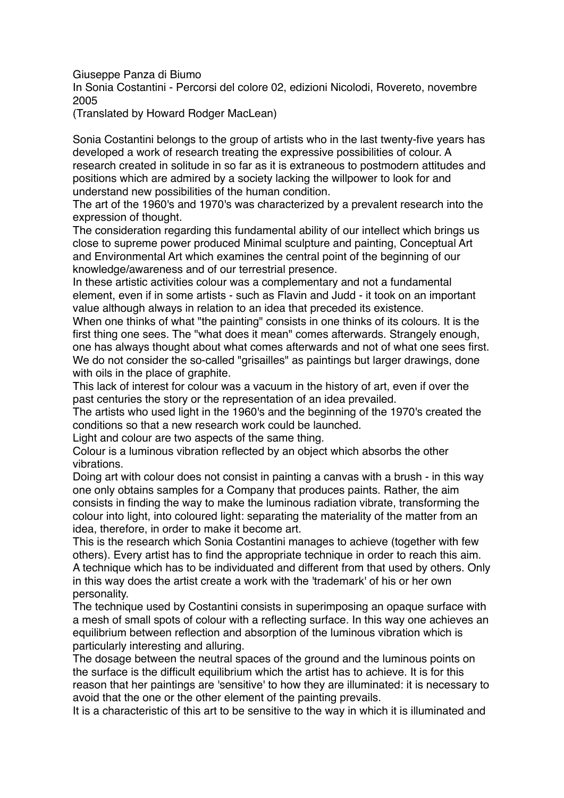Giuseppe Panza di Biumo

In Sonia Costantini - Percorsi del colore 02, edizioni Nicolodi, Rovereto, novembre 2005

(Translated by Howard Rodger MacLean)

Sonia Costantini belongs to the group of artists who in the last twenty-five years has developed a work of research treating the expressive possibilities of colour. A research created in solitude in so far as it is extraneous to postmodern attitudes and positions which are admired by a society lacking the willpower to look for and understand new possibilities of the human condition.

The art of the 1960's and 1970's was characterized by a prevalent research into the expression of thought.

The consideration regarding this fundamental ability of our intellect which brings us close to supreme power produced Minimal sculpture and painting, Conceptual Art and Environmental Art which examines the central point of the beginning of our knowledge/awareness and of our terrestrial presence.

In these artistic activities colour was a complementary and not a fundamental element, even if in some artists - such as Flavin and Judd - it took on an important value although always in relation to an idea that preceded its existence.

When one thinks of what "the painting" consists in one thinks of its colours. It is the first thing one sees. The "what does it mean" comes afterwards. Strangely enough, one has always thought about what comes afterwards and not of what one sees first. We do not consider the so-called "grisailles" as paintings but larger drawings, done with oils in the place of graphite.

This lack of interest for colour was a vacuum in the history of art, even if over the past centuries the story or the representation of an idea prevailed.

The artists who used light in the 1960's and the beginning of the 1970's created the conditions so that a new research work could be launched.

Light and colour are two aspects of the same thing.

Colour is a luminous vibration reflected by an object which absorbs the other vibrations.

Doing art with colour does not consist in painting a canvas with a brush - in this way one only obtains samples for a Company that produces paints. Rather, the aim consists in finding the way to make the luminous radiation vibrate, transforming the colour into light, into coloured light: separating the materiality of the matter from an idea, therefore, in order to make it become art.

This is the research which Sonia Costantini manages to achieve (together with few others). Every artist has to find the appropriate technique in order to reach this aim. A technique which has to be individuated and different from that used by others. Only in this way does the artist create a work with the 'trademark' of his or her own personality.

The technique used by Costantini consists in superimposing an opaque surface with a mesh of small spots of colour with a reflecting surface. In this way one achieves an equilibrium between reflection and absorption of the luminous vibration which is particularly interesting and alluring.

The dosage between the neutral spaces of the ground and the luminous points on the surface is the difficult equilibrium which the artist has to achieve. It is for this reason that her paintings are 'sensitive' to how they are illuminated: it is necessary to avoid that the one or the other element of the painting prevails.

It is a characteristic of this art to be sensitive to the way in which it is illuminated and